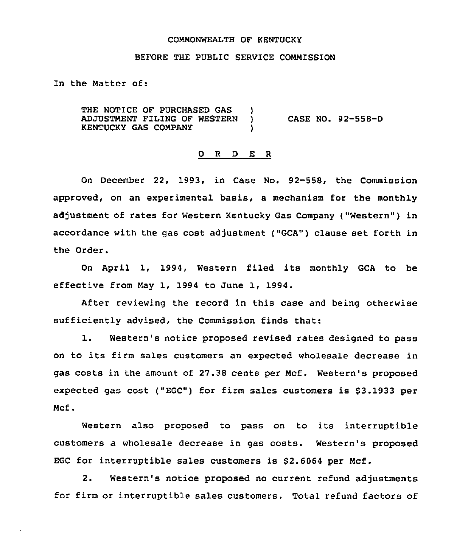### COMMONWEALTH OF KENTUCKY

#### BEFORE THE PUBLIC SERVICE COMMISSION

In the Matter of:

THE NOTICE OF PURCHASED GAS )<br>ADJUSTMENT FILING OF WESTERN ) ADJUSTMENT FILING OF WESTERN KENTUCKY GAS COMPANY CASE NO. 92-558-D

## 0 R <sup>D</sup> E R

On December 22, 1993, in Case No. 92-558, the Commission approved, on an experimental basis, a mechanism for the monthly adjustment of rates for Western Kentucky Gas Company ("Western") in accordance with the gas cost adjustment {"GCA") clause set forth in the Order.

On April 1, 1994, Western filed its monthly GCA to be effective from May 1, 1994 to June 1, 1994.

After reviewing the record in this case and being otherwise sufficiently advised, the Commission finds that:

1. Western's notice proposed revised rates designed to pass on to its firm sales customers an expected wholesale decrease in gas costs in the amount of 27.35 cents per Mcf. Western's proposed expected gas cost ("EGC") for firm sales customers is \$3.1933 per Mcf.

Western also proposed to pass on to its interruptible customers a wholesale decrease in gas costs. Western's proposed EGC for interruptible sales customers is \$2.6064 per Mcf.

2. Western's notice proposed no current refund adjustments for firm or interruptible sales customers. Total refund factors of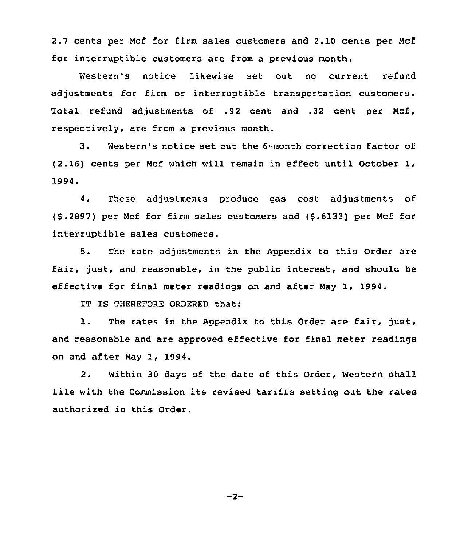2.7 cents per Ncf for firm sales customers and 2.10 cents per Ncf for interruptible customers are from a previous month.

Western's notice likewise set out no current refund adjustments for firm or interruptible transportation customers. Total refund adjustments of .92 cent and .32 cent per Ncf, respectively, are from a previous month.

3. Western's notice set out the 6-month correction factor of (2.16) cents per Ncf which will remain in effect until October 1, 1994.

4. These adjustments produce gas cost adjustments of (\$.2897) per Mcf for firm sales customers and (\$.6133) per Mcf for interruptible sales customers.

5. The rate adjustments in the Appendix to this Order are fair, just, and reasonable, in the public interest, and should be effective for final meter readings on and after Nay 1, 1994.

IT IS THEREFORE ORDERED that:

1. The rates in the Appendix to this Order are fair, just, and reasonable and are approved effective for final meter readings on and after Nay 1, 1994.

2. Within 30 days of the date of this Order, Western shall file with the Commission its revised tariffs setting out the rates authorized in this Order.

 $-2-$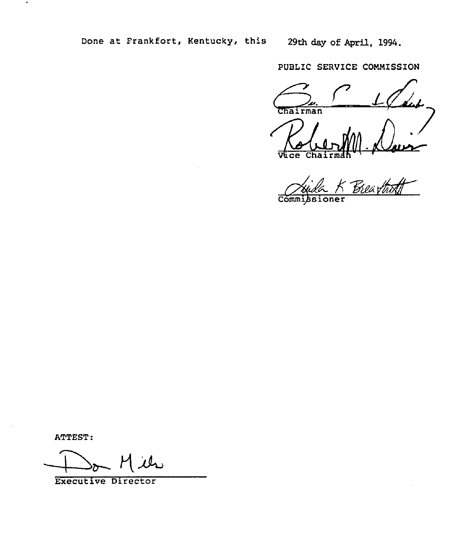PUBLIC SERVICE CONNISSION

Chairman /)  $\overline{\mathbf{c}\mathbf{e}}$ 

**Commissioner** 

ATTEST:

 $\blacksquare$ 

Executive Director